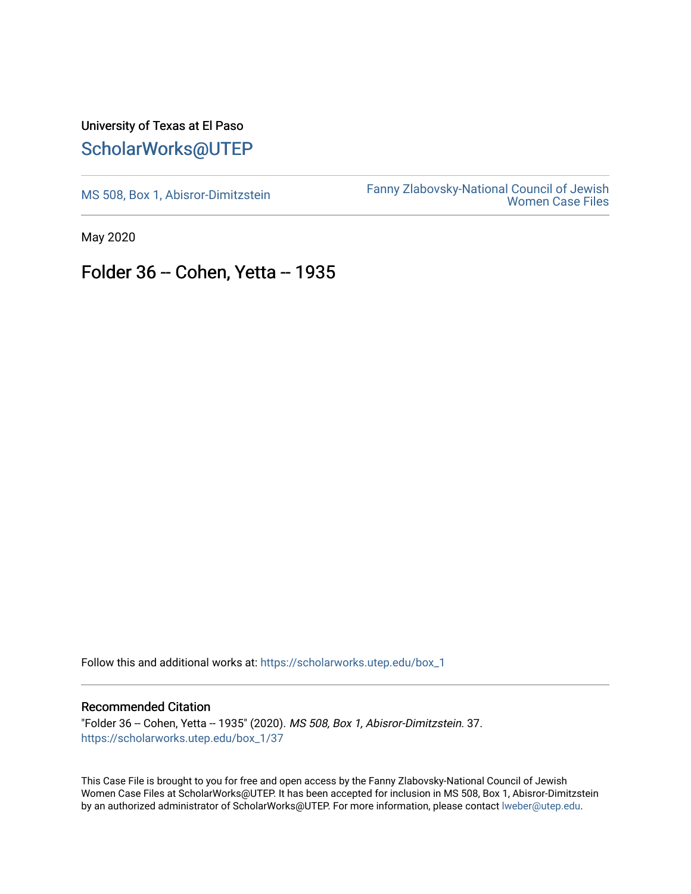## University of Texas at El Paso [ScholarWorks@UTEP](https://scholarworks.utep.edu/)

[MS 508, Box 1, Abisror-Dimitzstein](https://scholarworks.utep.edu/box_1) Fanny Zlabovsky-National Council of Jewish [Women Case Files](https://scholarworks.utep.edu/fanny_z) 

May 2020

## Folder 36 -- Cohen, Yetta -- 1935

Follow this and additional works at: [https://scholarworks.utep.edu/box\\_1](https://scholarworks.utep.edu/box_1?utm_source=scholarworks.utep.edu%2Fbox_1%2F37&utm_medium=PDF&utm_campaign=PDFCoverPages) 

## Recommended Citation

"Folder 36 -- Cohen, Yetta -- 1935" (2020). MS 508, Box 1, Abisror-Dimitzstein. 37. [https://scholarworks.utep.edu/box\\_1/37](https://scholarworks.utep.edu/box_1/37?utm_source=scholarworks.utep.edu%2Fbox_1%2F37&utm_medium=PDF&utm_campaign=PDFCoverPages)

This Case File is brought to you for free and open access by the Fanny Zlabovsky-National Council of Jewish Women Case Files at ScholarWorks@UTEP. It has been accepted for inclusion in MS 508, Box 1, Abisror-Dimitzstein by an authorized administrator of ScholarWorks@UTEP. For more information, please contact [lweber@utep.edu.](mailto:lweber@utep.edu)